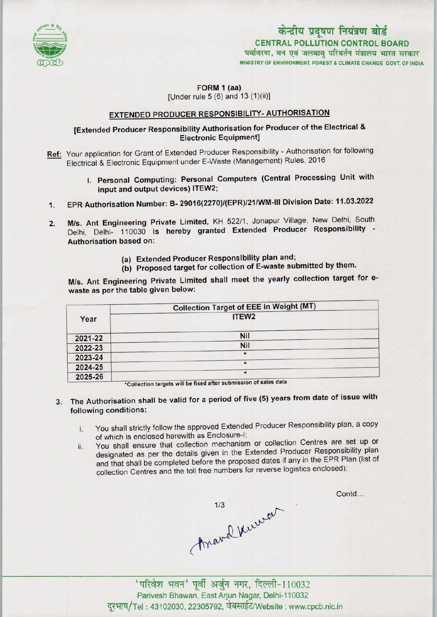

# केन्द्रीय प्रदूषण नियंत्रण बोर्ड CENTRAL POLLUTION CONTROL BOARD<br>पर्यावरण, वन एवं जलवाय परिवर्तन मंत्रालय भारत सरकार

MINISTRY OF ENVIRONMENT, FOREST A CLIMATE CHANGE GOVT. OF INDIA

#### FORM 1 (aa) [Under rule  $5(6)$  and  $13(1)(ii)$ ]

#### EXTENDED PRODUCER RESPONSIBILITY- AUTHORISATION

### [Extended Producer Responsibility Authorisation for Producer of the Electrical & **Electronic Equipment]**

- Ref: Your application for Grant of Extended Producer Responsibility Authorisation for following Electrical & Electronic Equipment under E-Waste (Management) Rules, 2016
	- I. Personal Computing: Personal Computers (Central Processing Unit with input and output devices) ITEW2;
- 1.EPR Authorisation Number: B- 29016(2270)/(EPR)/21/WM-lll Division Date: 11.03.2022
- 2. M/s. Ant Engineering Private Limited, KH 522/1, Jonapur Village, New Delhi, South Delhi, Delhi- 110030 is hereby granted Extended Producer Responsibility - Authorisation based on:
	- (a)Extended Producer Responsibility plan and;
	- (b) Proposed target for collection of E-waste submitted by them.

M/s. Ant Engineering Private Limited shall meet the yearly collection target for ewaste as per the table given below:

|         | <b>Collection Target of EEE in Weight (MT)</b>                                                                                                                                                                                            |
|---------|-------------------------------------------------------------------------------------------------------------------------------------------------------------------------------------------------------------------------------------------|
| Year    | ITEW <sub>2</sub>                                                                                                                                                                                                                         |
| 2021-22 | Nil                                                                                                                                                                                                                                       |
| 2022-23 | Nil                                                                                                                                                                                                                                       |
| 2023-24 | $\star$                                                                                                                                                                                                                                   |
| 2024-25 | $\star$                                                                                                                                                                                                                                   |
| 2025-26 | $\star$<br>and the contract of the second second second second second second second second second second second second second second second second second second second second second second second second second second second second se |

'Collection targets will be fixed eftersubmission of salee data

- 3. The Authorisation shall be valid for a period of five (5) years from date of issue with following conditions: .
	- i. You shall strictly follow the approved Extended Producer Responsibility plan, <sup>a</sup> copy of which is enclosed herewith as Enclosure-I;
	- ii. You shall ensure that collection mechanism or collection Centres are set up or designated as per the details given in the Extended Producer Responsibility plan and that shall be completed before the proposed dates if any in the EPR Plan (list of collection Centres and the toll free numbers for reverse logistics enclosed);

Anaval Kurren

Contd...

'परिवेश भवन' पूर्वी अर्जुन नगर, दिल्ली-110032 Parivesh Bhawan, East Arjun Nagar, Delhi-110032 दूरभाष/Tel: 43102030, 22305792, वेबसाईट/Website : www.cpcb.nic.in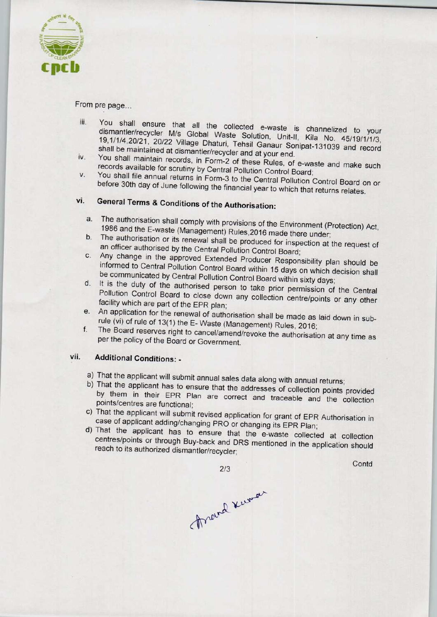

From pre page...

- iii. You shall ensure that all the collected e-waste is channelized to your Four origin crisule that all the collected e-waste is channelized to your<br>dismantler/recycler M/s Global Waste Solution, Unit-ll, Kilo No. 45/19/1/2011 dismantler/recycler M/s Global Waste Solution, Unit-II, Kila No. 45/19/1/1/3,<br>19,1/1/4,20/21, 20/22 Village Dhaturi, Tehsil Ganaur Sonipat-131039 and record shall be maintained at dismantler/recycler and at your end.
- iv. You shall maintain records, in Form-2 of these Rules, of e-waste and make such records available for scrutiny by Central Pollution Control Board;
- v. You shall file annual returns in Form-3 to the Central Pollution Control Board on or before 30th day of June following the financial year to which that returns relates.

## vi. General Terms & Conditions of the Authorisation:

- a.The authorisation shall comply with provisions of the Environment (Protection) Act, 1986 and the E-waste (Management) Rules,2016 made there under;
- b. The authorisation or its renewal shall be produced for inspection at the request of an officer authorised by the Central Pollution Control Board;
- c.Any change in the approved Extended Producer Responsibility plan should be informed to Central Pollution Control Board within 15 days on which decision shall be communicated by Central Pollution Control Board within sixty days;
- d. It is the duty of the authorised person to take prior permission of the Central Pollution Control Board to close down any collection centre/points or any other facility which are part of the EPR plan;
- e. An application for the renewal of authorisation shall be made as laid down in subrule (vi) of rule of 13(1) the E- Waste (Management) Rules, 2016;
- f. The Board reserves right to cancel/amend/revoke the authorisation at any time as per the policy of the Board or Government.

#### vii. Additional Conditions: -

- a) That the applicant will submit annual sales data along with annual returns;
- b) That the applicant has to ensure that the addresses of collection points provided by them in their EPR Plan are correct and traceable and the collection points/centres are functional;
- c) That the applicant will submit revised application for grant of EPR Authorisation in case of applicant adding/changing PRO or changing its EPR Plan;
- d)That the applicant has to ensure that the e-waste collected at collection centres/points or through Buy-back and DRS mentioned in the application should reach to its authorized dismantler/recycler;

2/3

**Contd** 

Frand Kumar